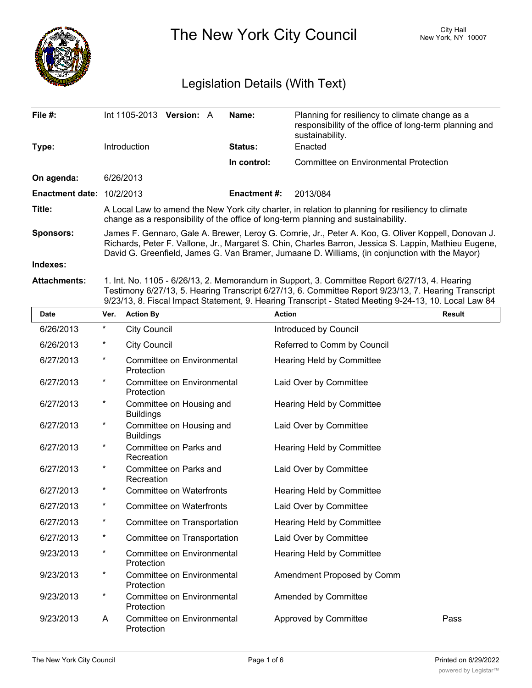

The New York City Council New York, NY 10007

# Legislation Details (With Text)

| File $#$ :                |                                                                                                                                                                                                                                                                                                                | Int 1105-2013 Version: A                                                                                                                                                                | Name:               | Planning for resiliency to climate change as a<br>responsibility of the office of long-term planning and<br>sustainability. |  |  |  |
|---------------------------|----------------------------------------------------------------------------------------------------------------------------------------------------------------------------------------------------------------------------------------------------------------------------------------------------------------|-----------------------------------------------------------------------------------------------------------------------------------------------------------------------------------------|---------------------|-----------------------------------------------------------------------------------------------------------------------------|--|--|--|
| Type:                     |                                                                                                                                                                                                                                                                                                                | Introduction                                                                                                                                                                            | Status:             | Enacted                                                                                                                     |  |  |  |
|                           |                                                                                                                                                                                                                                                                                                                |                                                                                                                                                                                         | In control:         | Committee on Environmental Protection                                                                                       |  |  |  |
| On agenda:                |                                                                                                                                                                                                                                                                                                                | 6/26/2013                                                                                                                                                                               |                     |                                                                                                                             |  |  |  |
| Enactment date: 10/2/2013 |                                                                                                                                                                                                                                                                                                                |                                                                                                                                                                                         | <b>Enactment #:</b> | 2013/084                                                                                                                    |  |  |  |
| Title:                    |                                                                                                                                                                                                                                                                                                                | A Local Law to amend the New York city charter, in relation to planning for resiliency to climate<br>change as a responsibility of the office of long-term planning and sustainability. |                     |                                                                                                                             |  |  |  |
| <b>Sponsors:</b>          | James F. Gennaro, Gale A. Brewer, Leroy G. Comrie, Jr., Peter A. Koo, G. Oliver Koppell, Donovan J.<br>Richards, Peter F. Vallone, Jr., Margaret S. Chin, Charles Barron, Jessica S. Lappin, Mathieu Eugene,<br>David G. Greenfield, James G. Van Bramer, Jumaane D. Williams, (in conjunction with the Mayor) |                                                                                                                                                                                         |                     |                                                                                                                             |  |  |  |
| Indexes:                  |                                                                                                                                                                                                                                                                                                                |                                                                                                                                                                                         |                     |                                                                                                                             |  |  |  |
| <b>Attachments:</b>       | 1. Int. No. 1105 - 6/26/13, 2. Memorandum in Support, 3. Committee Report 6/27/13, 4. Hearing<br>Testimony 6/27/13, 5. Hearing Transcript 6/27/13, 6. Committee Report 9/23/13, 7. Hearing Transcript<br>9/23/13, 8. Fiscal Impact Statement, 9. Hearing Transcript - Stated Meeting 9-24-13, 10. Local Law 84 |                                                                                                                                                                                         |                     |                                                                                                                             |  |  |  |
| <b>Date</b>               | Ver.                                                                                                                                                                                                                                                                                                           | <b>Action By</b>                                                                                                                                                                        |                     | <b>Action</b><br><b>Result</b>                                                                                              |  |  |  |
| 6/26/2013                 | $^\star$                                                                                                                                                                                                                                                                                                       | <b>City Council</b>                                                                                                                                                                     |                     | Introduced by Council                                                                                                       |  |  |  |
| 6/26/2013                 | $^\star$                                                                                                                                                                                                                                                                                                       | <b>City Council</b>                                                                                                                                                                     |                     | Referred to Comm by Council                                                                                                 |  |  |  |
| 6/27/2013                 | $\star$                                                                                                                                                                                                                                                                                                        | Committee on Environmental<br>Protection                                                                                                                                                |                     | Hearing Held by Committee                                                                                                   |  |  |  |
| 6/27/2013                 | $^\star$                                                                                                                                                                                                                                                                                                       | Committee on Environmental<br>Protection                                                                                                                                                |                     | Laid Over by Committee                                                                                                      |  |  |  |

| 6/27/2013 | $^\star$   | Committee on Environmental<br>Protection     | Hearing Held by Committee        |      |
|-----------|------------|----------------------------------------------|----------------------------------|------|
| 6/27/2013 | $^\star$   | Committee on Environmental<br>Protection     | Laid Over by Committee           |      |
| 6/27/2013 | $^\star$   | Committee on Housing and<br><b>Buildings</b> | Hearing Held by Committee        |      |
| 6/27/2013 | *          | Committee on Housing and<br><b>Buildings</b> | Laid Over by Committee           |      |
| 6/27/2013 | $^\star$   | Committee on Parks and<br>Recreation         | Hearing Held by Committee        |      |
| 6/27/2013 | *          | Committee on Parks and<br>Recreation         | Laid Over by Committee           |      |
| 6/27/2013 | *          | <b>Committee on Waterfronts</b>              | Hearing Held by Committee        |      |
| 6/27/2013 | $^\star$   | Committee on Waterfronts                     | Laid Over by Committee           |      |
| 6/27/2013 | $^{\star}$ | Committee on Transportation                  | Hearing Held by Committee        |      |
| 6/27/2013 | $^\star$   | Committee on Transportation                  | Laid Over by Committee           |      |
| 9/23/2013 | $^\star$   | Committee on Environmental<br>Protection     | <b>Hearing Held by Committee</b> |      |
| 9/23/2013 | $^\ast$    | Committee on Environmental<br>Protection     | Amendment Proposed by Comm       |      |
| 9/23/2013 | $^\ast$    | Committee on Environmental<br>Protection     | Amended by Committee             |      |
| 9/23/2013 | A          | Committee on Environmental<br>Protection     | Approved by Committee            | Pass |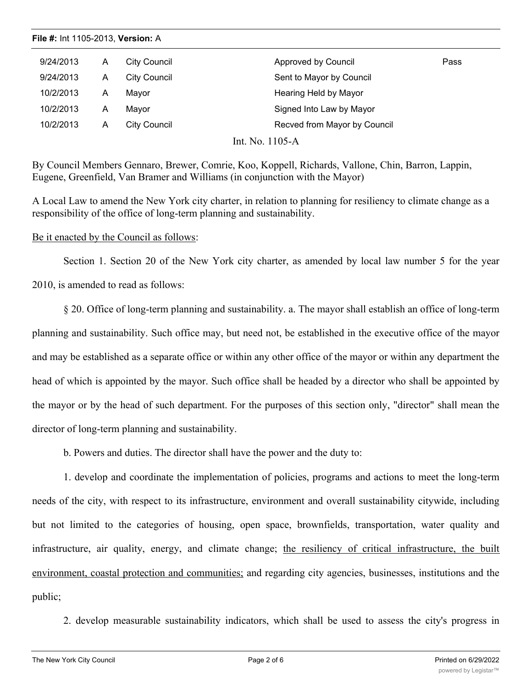| 9/24/2013 | A | <b>City Council</b> | Approved by Council          | Pass |
|-----------|---|---------------------|------------------------------|------|
| 9/24/2013 | A | City Council        | Sent to Mayor by Council     |      |
| 10/2/2013 | A | Mayor               | Hearing Held by Mayor        |      |
| 10/2/2013 | A | Mayor               | Signed Into Law by Mayor     |      |
| 10/2/2013 | Α | <b>City Council</b> | Recved from Mayor by Council |      |

Int. No. 1105-A

By Council Members Gennaro, Brewer, Comrie, Koo, Koppell, Richards, Vallone, Chin, Barron, Lappin, Eugene, Greenfield, Van Bramer and Williams (in conjunction with the Mayor)

A Local Law to amend the New York city charter, in relation to planning for resiliency to climate change as a responsibility of the office of long-term planning and sustainability.

# Be it enacted by the Council as follows:

Section 1. Section 20 of the New York city charter, as amended by local law number 5 for the year 2010, is amended to read as follows:

§ 20. Office of long-term planning and sustainability. a. The mayor shall establish an office of long-term planning and sustainability. Such office may, but need not, be established in the executive office of the mayor and may be established as a separate office or within any other office of the mayor or within any department the head of which is appointed by the mayor. Such office shall be headed by a director who shall be appointed by the mayor or by the head of such department. For the purposes of this section only, "director" shall mean the director of long-term planning and sustainability.

b. Powers and duties. The director shall have the power and the duty to:

1. develop and coordinate the implementation of policies, programs and actions to meet the long-term needs of the city, with respect to its infrastructure, environment and overall sustainability citywide, including but not limited to the categories of housing, open space, brownfields, transportation, water quality and infrastructure, air quality, energy, and climate change; the resiliency of critical infrastructure, the built environment, coastal protection and communities; and regarding city agencies, businesses, institutions and the public;

2. develop measurable sustainability indicators, which shall be used to assess the city's progress in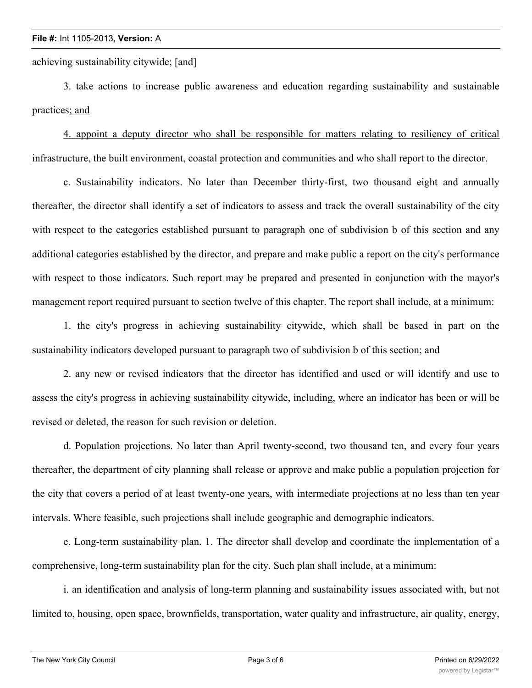achieving sustainability citywide; [and]

3. take actions to increase public awareness and education regarding sustainability and sustainable practices; and

4. appoint a deputy director who shall be responsible for matters relating to resiliency of critical infrastructure, the built environment, coastal protection and communities and who shall report to the director.

c. Sustainability indicators. No later than December thirty-first, two thousand eight and annually thereafter, the director shall identify a set of indicators to assess and track the overall sustainability of the city with respect to the categories established pursuant to paragraph one of subdivision b of this section and any additional categories established by the director, and prepare and make public a report on the city's performance with respect to those indicators. Such report may be prepared and presented in conjunction with the mayor's management report required pursuant to section twelve of this chapter. The report shall include, at a minimum:

1. the city's progress in achieving sustainability citywide, which shall be based in part on the sustainability indicators developed pursuant to paragraph two of subdivision b of this section; and

2. any new or revised indicators that the director has identified and used or will identify and use to assess the city's progress in achieving sustainability citywide, including, where an indicator has been or will be revised or deleted, the reason for such revision or deletion.

d. Population projections. No later than April twenty-second, two thousand ten, and every four years thereafter, the department of city planning shall release or approve and make public a population projection for the city that covers a period of at least twenty-one years, with intermediate projections at no less than ten year intervals. Where feasible, such projections shall include geographic and demographic indicators.

e. Long-term sustainability plan. 1. The director shall develop and coordinate the implementation of a comprehensive, long-term sustainability plan for the city. Such plan shall include, at a minimum:

i. an identification and analysis of long-term planning and sustainability issues associated with, but not limited to, housing, open space, brownfields, transportation, water quality and infrastructure, air quality, energy,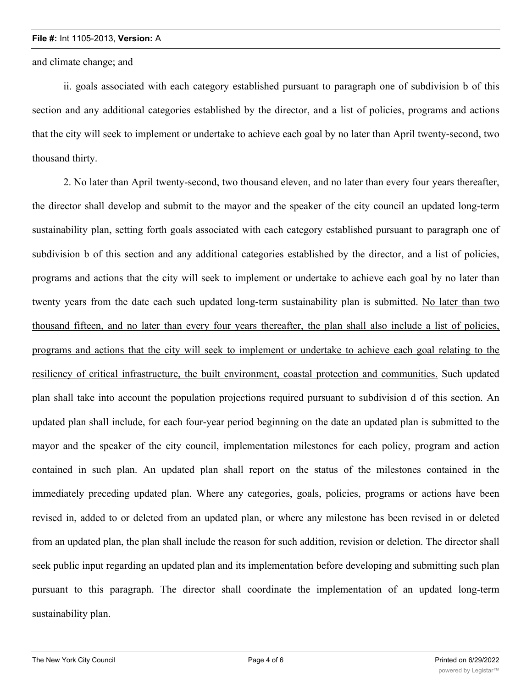and climate change; and

ii. goals associated with each category established pursuant to paragraph one of subdivision b of this section and any additional categories established by the director, and a list of policies, programs and actions that the city will seek to implement or undertake to achieve each goal by no later than April twenty-second, two thousand thirty.

2. No later than April twenty-second, two thousand eleven, and no later than every four years thereafter, the director shall develop and submit to the mayor and the speaker of the city council an updated long-term sustainability plan, setting forth goals associated with each category established pursuant to paragraph one of subdivision b of this section and any additional categories established by the director, and a list of policies, programs and actions that the city will seek to implement or undertake to achieve each goal by no later than twenty years from the date each such updated long-term sustainability plan is submitted. No later than two thousand fifteen, and no later than every four years thereafter, the plan shall also include a list of policies, programs and actions that the city will seek to implement or undertake to achieve each goal relating to the resiliency of critical infrastructure, the built environment, coastal protection and communities. Such updated plan shall take into account the population projections required pursuant to subdivision d of this section. An updated plan shall include, for each four-year period beginning on the date an updated plan is submitted to the mayor and the speaker of the city council, implementation milestones for each policy, program and action contained in such plan. An updated plan shall report on the status of the milestones contained in the immediately preceding updated plan. Where any categories, goals, policies, programs or actions have been revised in, added to or deleted from an updated plan, or where any milestone has been revised in or deleted from an updated plan, the plan shall include the reason for such addition, revision or deletion. The director shall seek public input regarding an updated plan and its implementation before developing and submitting such plan pursuant to this paragraph. The director shall coordinate the implementation of an updated long-term sustainability plan.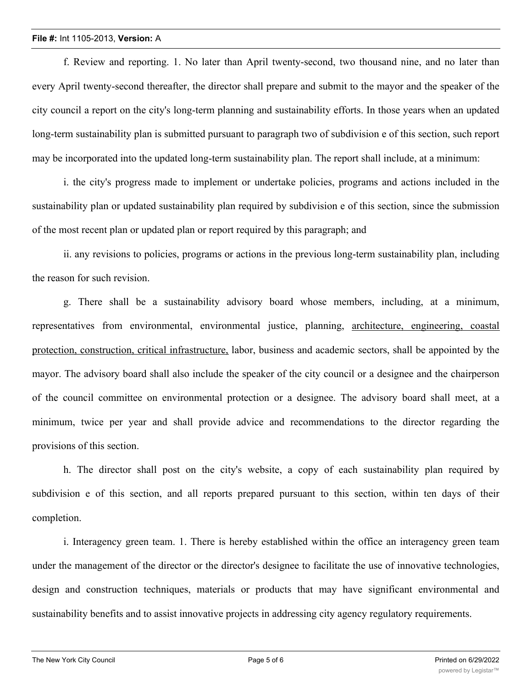f. Review and reporting. 1. No later than April twenty-second, two thousand nine, and no later than every April twenty-second thereafter, the director shall prepare and submit to the mayor and the speaker of the city council a report on the city's long-term planning and sustainability efforts. In those years when an updated long-term sustainability plan is submitted pursuant to paragraph two of subdivision e of this section, such report may be incorporated into the updated long-term sustainability plan. The report shall include, at a minimum:

i. the city's progress made to implement or undertake policies, programs and actions included in the sustainability plan or updated sustainability plan required by subdivision e of this section, since the submission of the most recent plan or updated plan or report required by this paragraph; and

ii. any revisions to policies, programs or actions in the previous long-term sustainability plan, including the reason for such revision.

g. There shall be a sustainability advisory board whose members, including, at a minimum, representatives from environmental, environmental justice, planning, architecture, engineering, coastal protection, construction, critical infrastructure, labor, business and academic sectors, shall be appointed by the mayor. The advisory board shall also include the speaker of the city council or a designee and the chairperson of the council committee on environmental protection or a designee. The advisory board shall meet, at a minimum, twice per year and shall provide advice and recommendations to the director regarding the provisions of this section.

h. The director shall post on the city's website, a copy of each sustainability plan required by subdivision e of this section, and all reports prepared pursuant to this section, within ten days of their completion.

i. Interagency green team. 1. There is hereby established within the office an interagency green team under the management of the director or the director's designee to facilitate the use of innovative technologies, design and construction techniques, materials or products that may have significant environmental and sustainability benefits and to assist innovative projects in addressing city agency regulatory requirements.